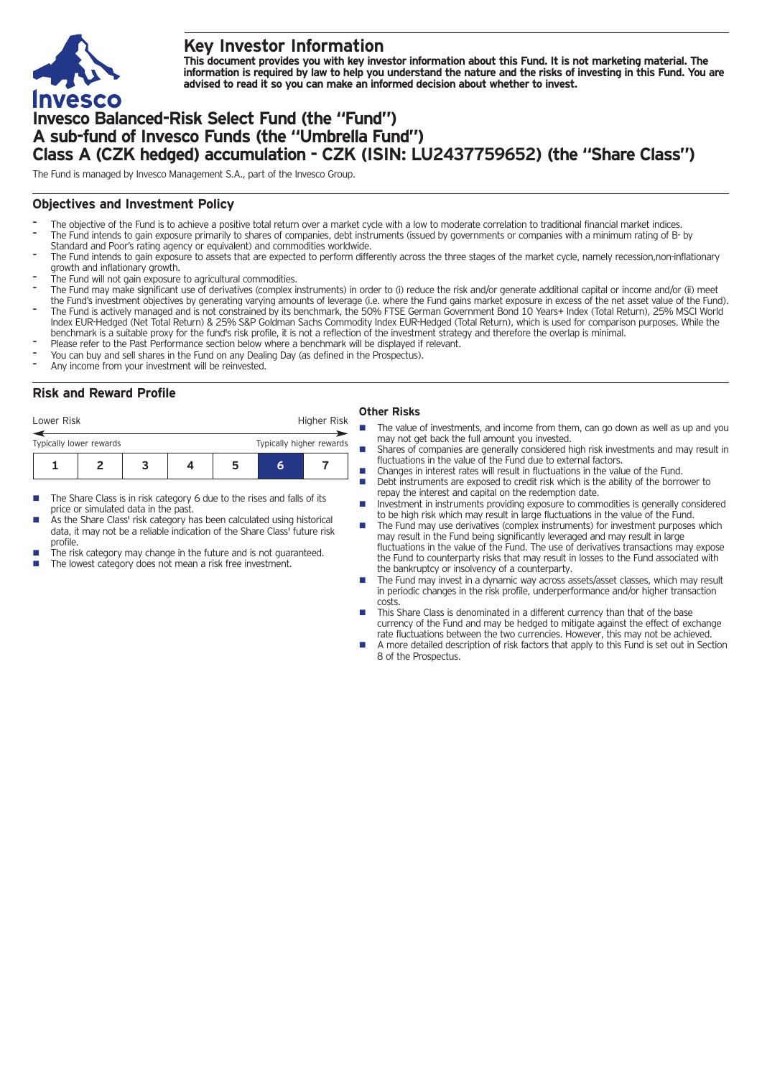

# **Key Investor Information**

This document provides you with key investor information about this Fund. It is not marketing material. The information is required by law to help you understand the nature and the risks of investing in this Fund. You are **advised to read it so you can make an informed decision about whether to invest.**

# **Invesco Balanced-Risk Select Fund (the "Fund") A sub-fund of Invesco Funds (the "Umbrella Fund") Class A (CZK hedged) accumulation - CZK (ISIN: LU2437759652) (the "Share Class")**

The Fund is managed by Invesco Management S.A., part of the Invesco Group.

## **Objectives and Investment Policy**

- The objective of the Fund is to achieve a positive total return over a market cycle with a low to moderate correlation to traditional financial market indices. The Fund intends to gain exposure primarily to shares of companies, debt instruments (issued by governments or companies with a minimum rating of B- by
- Standard and Poor's rating agency or equivalent) and commodities worldwide.
- The Fund intends to gain exposure to assets that are expected to perform differently across the three stages of the market cycle, namely recession,non-inflationary growth and inflationary growth.
- The Fund will not gain exposure to agricultural commodities.
- The Fund may make significant use of derivatives (complex instruments) in order to (i) reduce the risk and/or generate additional capital or income and/or (ii) meet the Fund's investment objectives by generating varying amounts of leverage (i.e. where the Fund gains market exposure in excess of the net asset value of the Fund). - The Fund is actively managed and is not constrained by its benchmark, the 50% FTSE German Government Bond <sup>10</sup> Years+ Index (Total Return), 25% MSCI World Index EUR-Hedged (Net Total Return) & 25% S&P Goldman Sachs Commodity Index EUR-Hedged (Total Return), which is used for comparison purposes. While the
- benchmark is a suitable proxy for the fund's risk profile, it is not a reflection of the investment strategy and therefore the overlap is minimal.
- Please refer to the Past Performance section below where a benchmark will be displayed if relevant. You can buy and sell shares in the Fund on any Dealing Day (as defined in the Prospectus).
- 
- Any income from your investment will be reinvested.

## **Risk and Reward Profile**

| Lower Risk                                          |  |  |  |  | Higher Risk |  |  |
|-----------------------------------------------------|--|--|--|--|-------------|--|--|
| Typically higher rewards<br>Typically lower rewards |  |  |  |  |             |  |  |
|                                                     |  |  |  |  |             |  |  |

- The Share Class is in risk category 6 due to the rises and falls of its price or simulated data in the past.
- As the Share Class' risk category has been calculated using historical data, it may not be a reliable indication of the Share Class' future risk profile.
- The risk category may change in the future and is not guaranteed.
- The lowest category does not mean a risk free investment.

#### **Other Risks**

- The value of investments, and income from them, can go down as well as up and you may not get back the full amount you invested.
- Shares of companies are generally considered high risk investments and may result in fluctuations in the value of the Fund due to external factors.
- n Changes in interest rates will result in fluctuations in the value of the Fund. n Debt instruments are exposed to credit risk which is the ability of the borrower to repay the interest and capital on the redemption date.
- Investment in instruments providing exposure to commodities is generally considered to be high risk which may result in large fluctuations in the value of the Fund.
- The Fund may use derivatives (complex instruments) for investment purposes which may result in the Fund being significantly leveraged and may result in large fluctuations in the value of the Fund. The use of derivatives transactions may expose the Fund to counterparty risks that may result in losses to the Fund associated with the bankruptcy or insolvency of a counterparty.
- The Fund may invest in a dynamic way across assets/asset classes, which may result in periodic changes in the risk profile, underperformance and/or higher transaction costs.
- This Share Class is denominated in a different currency than that of the base currency of the Fund and may be hedged to mitigate against the effect of exchange rate fluctuations between the two currencies. However, this may not be achieved.
- n A more detailed description of risk factors that apply to this Fund is set out in Section 8 of the Prospectus.